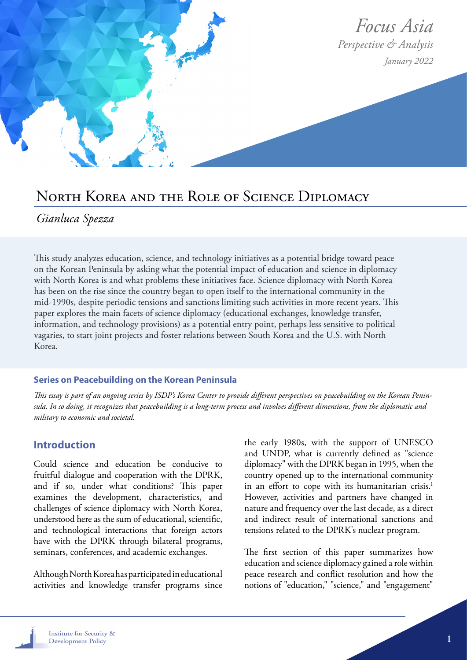

## North Korea and the Role of Science Diplomacy

## *Gianluca Spezza*

This study analyzes education, science, and technology initiatives as a potential bridge toward peace on the Korean Peninsula by asking what the potential impact of education and science in diplomacy with North Korea is and what problems these initiatives face. Science diplomacy with North Korea has been on the rise since the country began to open itself to the international community in the mid-1990s, despite periodic tensions and sanctions limiting such activities in more recent years. This paper explores the main facets of science diplomacy (educational exchanges, knowledge transfer, information, and technology provisions) as a potential entry point, perhaps less sensitive to political vagaries, to start joint projects and foster relations between South Korea and the U.S. with North Korea.

#### **Series on Peacebuilding on the Korean Peninsula**

*This essay is part of an ongoing series by ISDP's Korea Center to provide different perspectives on peacebuilding on the Korean Peninsula. In so doing, it recognizes that peacebuilding is a long-term process and involves different dimensions, from the diplomatic and military to economic and societal.*

#### **Introduction**

Could science and education be conducive to fruitful dialogue and cooperation with the DPRK, and if so, under what conditions? This paper examines the development, characteristics, and challenges of science diplomacy with North Korea, understood here as the sum of educational, scientific, and technological interactions that foreign actors have with the DPRK through bilateral programs, seminars, conferences, and academic exchanges.

Although North Korea has participated in educational activities and knowledge transfer programs since the early 1980s, with the support of UNESCO and UNDP, what is currently defined as "science diplomacy" with the DPRK began in 1995, when the country opened up to the international community in an effort to cope with its humanitarian crisis.<sup>1</sup> However, activities and partners have changed in nature and frequency over the last decade, as a direct and indirect result of international sanctions and tensions related to the DPRK's nuclear program.

The first section of this paper summarizes how education and science diplomacy gained a role within peace research and conflict resolution and how the notions of "education," "science," and "engagement"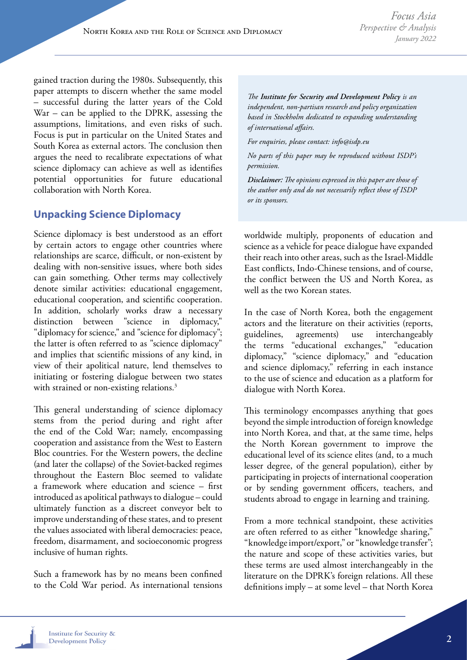gained traction during the 1980s. Subsequently, this paper attempts to discern whether the same model – successful during the latter years of the Cold War – can be applied to the DPRK, assessing the assumptions, limitations, and even risks of such. Focus is put in particular on the United States and South Korea as external actors. The conclusion then argues the need to recalibrate expectations of what science diplomacy can achieve as well as identifies potential opportunities for future educational collaboration with North Korea.

### **Unpacking Science Diplomacy**

Science diplomacy is best understood as an effort by certain actors to engage other countries where relationships are scarce, difficult, or non-existent by dealing with non-sensitive issues, where both sides can gain something. Other terms may collectively denote similar activities: educational engagement, educational cooperation, and scientific cooperation. In addition, scholarly works draw a necessary distinction between "science in diplomacy," "diplomacy for science," and "science for diplomacy"; the latter is often referred to as "science diplomacy" and implies that scientific missions of any kind, in view of their apolitical nature, lend themselves to initiating or fostering dialogue between two states with strained or non-existing relations.<sup>3</sup>

This general understanding of science diplomacy stems from the period during and right after the end of the Cold War; namely, encompassing cooperation and assistance from the West to Eastern Bloc countries. For the Western powers, the decline (and later the collapse) of the Soviet-backed regimes throughout the Eastern Bloc seemed to validate a framework where education and science – first introduced as apolitical pathways to dialogue – could ultimately function as a discreet conveyor belt to improve understanding of these states, and to present the values associated with liberal democracies: peace, freedom, disarmament, and socioeconomic progress inclusive of human rights.

Such a framework has by no means been confined to the Cold War period. As international tensions

*The Institute for Security and Development Policy is an independent, non-partisan research and policy organization based in Stockholm dedicated to expanding understanding of international affairs.* 

*For enquiries, please contact: info@isdp.eu*

*No parts of this paper may be reproduced without ISDP's permission.*

*Disclaimer: The opinions expressed in this paper are those of the author only and do not necessarily reflect those of ISDP or its sponsors.*

worldwide multiply, proponents of education and science as a vehicle for peace dialogue have expanded their reach into other areas, such as the Israel-Middle East conflicts, Indo-Chinese tensions, and of course, the conflict between the US and North Korea, as well as the two Korean states.

In the case of North Korea, both the engagement actors and the literature on their activities (reports, guidelines, agreements) use interchangeably the terms "educational exchanges," "education diplomacy," "science diplomacy," and "education and science diplomacy," referring in each instance to the use of science and education as a platform for dialogue with North Korea.

This terminology encompasses anything that goes beyond the simple introduction of foreign knowledge into North Korea, and that, at the same time, helps the North Korean government to improve the educational level of its science elites (and, to a much lesser degree, of the general population), either by participating in projects of international cooperation or by sending government officers, teachers, and students abroad to engage in learning and training.

From a more technical standpoint, these activities are often referred to as either "knowledge sharing," "knowledge import/export," or "knowledge transfer"; the nature and scope of these activities varies, but these terms are used almost interchangeably in the literature on the DPRK's foreign relations. All these definitions imply – at some level – that North Korea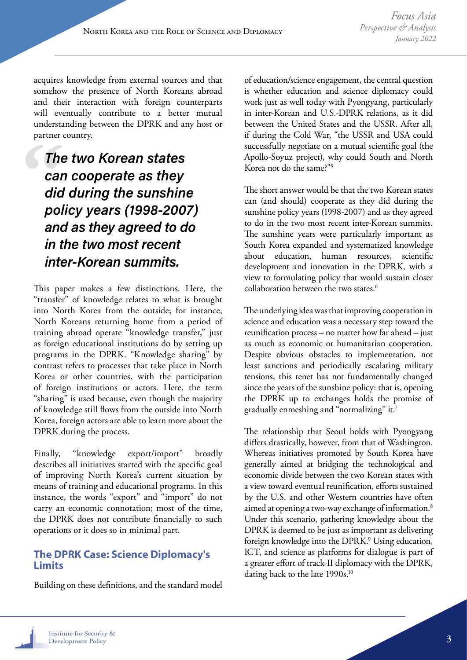acquires knowledge from external sources and that somehow the presence of North Koreans abroad and their interaction with foreign counterparts will eventually contribute to a better mutual understanding between the DPRK and any host or partner country.

The two Korean states can cooperate as they did during the sunshine policy years (1998-2007) and as they agreed to do in the two most recent inter-Korean summits.

This paper makes a few distinctions. Here, the "transfer" of knowledge relates to what is brought into North Korea from the outside; for instance, North Koreans returning home from a period of training abroad operate "knowledge transfer," just as foreign educational institutions do by setting up programs in the DPRK. "Knowledge sharing" by contrast refers to processes that take place in North Korea or other countries, with the participation of foreign institutions or actors. Here, the term "sharing" is used because, even though the majority of knowledge still flows from the outside into North Korea, foreign actors are able to learn more about the DPRK during the process.

Finally, "knowledge export/import" broadly describes all initiatives started with the specific goal of improving North Korea's current situation by means of training and educational programs. In this instance, the words "export" and "import" do not carry an economic connotation; most of the time, the DPRK does not contribute financially to such operations or it does so in minimal part.

#### **The DPRK Case: Science Diplomacy's Limits**

Building on these definitions, and the standard model

of education/science engagement, the central question is whether education and science diplomacy could work just as well today with Pyongyang, particularly in inter-Korean and U.S.-DPRK relations, as it did between the United States and the USSR. After all, if during the Cold War, "the USSR and USA could successfully negotiate on a mutual scientific goal (the Apollo-Soyuz project), why could South and North Korea not do the same?"5

The short answer would be that the two Korean states can (and should) cooperate as they did during the sunshine policy years (1998-2007) and as they agreed to do in the two most recent inter-Korean summits. The sunshine years were particularly important as South Korea expanded and systematized knowledge about education, human resources, scientific development and innovation in the DPRK, with a view to formulating policy that would sustain closer collaboration between the two states.<sup>6</sup>

The underlying idea was that improving cooperation in science and education was a necessary step toward the reunification process – no matter how far ahead – just as much as economic or humanitarian cooperation. Despite obvious obstacles to implementation, not least sanctions and periodically escalating military tensions, this tenet has not fundamentally changed since the years of the sunshine policy: that is, opening the DPRK up to exchanges holds the promise of gradually enmeshing and "normalizing" it.7

The relationship that Seoul holds with Pyongyang differs drastically, however, from that of Washington. Whereas initiatives promoted by South Korea have generally aimed at bridging the technological and economic divide between the two Korean states with a view toward eventual reunification, efforts sustained by the U.S. and other Western countries have often aimed at opening a two-way exchange of information.8 Under this scenario, gathering knowledge about the DPRK is deemed to be just as important as delivering foreign knowledge into the DPRK.<sup>9</sup> Using education, ICT, and science as platforms for dialogue is part of a greater effort of track-II diplomacy with the DPRK, dating back to the late 1990s.<sup>10</sup>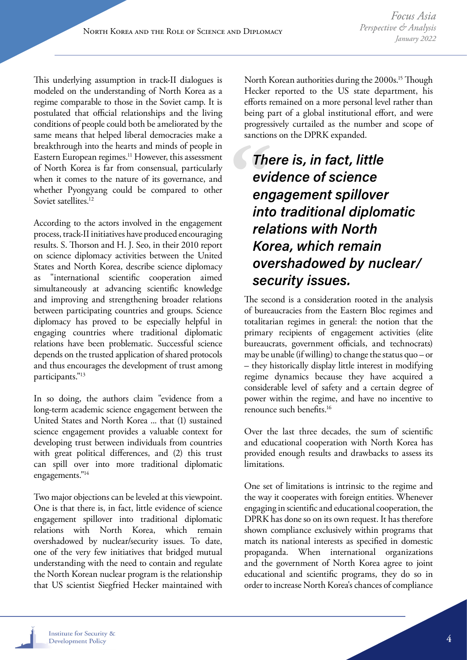This underlying assumption in track-II dialogues is modeled on the understanding of North Korea as a regime comparable to those in the Soviet camp. It is postulated that official relationships and the living conditions of people could both be ameliorated by the same means that helped liberal democracies make a breakthrough into the hearts and minds of people in Eastern European regimes.<sup>11</sup> However, this assessment of North Korea is far from consensual, particularly when it comes to the nature of its governance, and whether Pyongyang could be compared to other Soviet satellites.<sup>12</sup>

According to the actors involved in the engagement process, track-II initiatives have produced encouraging results. S. Thorson and H. J. Seo, in their 2010 report on science diplomacy activities between the United States and North Korea, describe science diplomacy as "international scientific cooperation aimed simultaneously at advancing scientific knowledge and improving and strengthening broader relations between participating countries and groups. Science diplomacy has proved to be especially helpful in engaging countries where traditional diplomatic relations have been problematic. Successful science depends on the trusted application of shared protocols and thus encourages the development of trust among participants."13

In so doing, the authors claim "evidence from a long-term academic science engagement between the United States and North Korea ... that (1) sustained science engagement provides a valuable context for developing trust between individuals from countries with great political differences, and (2) this trust can spill over into more traditional diplomatic engagements."14

Two major objections can be leveled at this viewpoint. One is that there is, in fact, little evidence of science engagement spillover into traditional diplomatic relations with North Korea, which remain overshadowed by nuclear/security issues. To date, one of the very few initiatives that bridged mutual understanding with the need to contain and regulate the North Korean nuclear program is the relationship that US scientist Siegfried Hecker maintained with North Korean authorities during the 2000s.<sup>15</sup> Though Hecker reported to the US state department, his efforts remained on a more personal level rather than being part of a global institutional effort, and were progressively curtailed as the number and scope of sanctions on the DPRK expanded.

# There is, in fact, little evidence of science engagement spillover into traditional diplomatic relations with North Korea, which remain overshadowed by nuclear/ security issues.

The second is a consideration rooted in the analysis of bureaucracies from the Eastern Bloc regimes and totalitarian regimes in general: the notion that the primary recipients of engagement activities (elite bureaucrats, government officials, and technocrats) may be unable (if willing) to change the status quo – or – they historically display little interest in modifying regime dynamics because they have acquired a considerable level of safety and a certain degree of power within the regime, and have no incentive to renounce such benefits.16

Over the last three decades, the sum of scientific and educational cooperation with North Korea has provided enough results and drawbacks to assess its limitations.

One set of limitations is intrinsic to the regime and the way it cooperates with foreign entities. Whenever engaging in scientific and educational cooperation, the DPRK has done so on its own request. It has therefore shown compliance exclusively within programs that match its national interests as specified in domestic propaganda. When international organizations and the government of North Korea agree to joint educational and scientific programs, they do so in order to increase North Korea's chances of compliance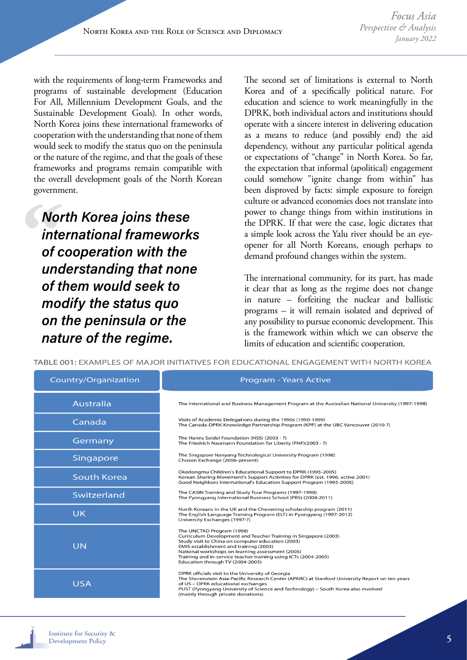with the requirements of long-term Frameworks and programs of sustainable development (Education For All, Millennium Development Goals, and the Sustainable Development Goals). In other words, North Korea joins these international frameworks of cooperation with the understanding that none of them would seek to modify the status quo on the peninsula or the nature of the regime, and that the goals of these frameworks and programs remain compatible with the overall development goals of the North Korean government.

North Korea joins these international frameworks of cooperation with the understanding that none of them would seek to modify the status quo on the peninsula or the nature of the regime.

The second set of limitations is external to North Korea and of a specifically political nature. For education and science to work meaningfully in the DPRK, both individual actors and institutions should operate with a sincere interest in delivering education as a means to reduce (and possibly end) the aid dependency, without any particular political agenda or expectations of "change" in North Korea. So far, the expectation that informal (apolitical) engagement could somehow "ignite change from within" has been disproved by facts: simple exposure to foreign culture or advanced economies does not translate into power to change things from within institutions in the DPRK. If that were the case, logic dictates that a simple look across the Yalu river should be an eyeopener for all North Koreans, enough perhaps to demand profound changes within the system.

The international community, for its part, has made it clear that as long as the regime does not change in nature – forfeiting the nuclear and ballistic programs – it will remain isolated and deprived of any possibility to pursue economic development. This is the framework within which we can observe the limits of education and scientific cooperation.

TABLE 001: EXAMPLES OF MAJOR INITIATIVES FOR EDUCATIONAL ENGAGEMENT WITH NORTH KOREA Country/Organization **Program - Years Active Australia** The International and Business Management Program at the Australian National University (1997-1998) Visits of Academic Delegations during the 1990s (1990-1999)<br>The Canada-DPRK Knowledge Partnership Program (KPP) at the UBC Vancouver (2010-?) Canada The Hanns Seidel Foundation (HSS) (2003 - ?) Germany The Friedrich Naumann Foundation for Liberty (FNF)(2003 - ?) The Singapore Nanyang Technological University Program (1998)<br>Choson Exchange (2006-present) Singapore Okedongmu Children's Educational Support to DPRK (1995-2005)<br>Korean Sharing Movement's Support Activities for DPRK (est. 1996, active 2001) **South Korea** Good Neighbors International's Education Support Program (1995-2005) The CASIN Training and Study Tour Programs (1997-1998)<br>The Pyongyang International Business School (PBS) (2004-2011) Switzerland North Koreans in the UK and the Chevening scholarship program (2011)<br>The English Language Training Program (ELT) in Pyongyang (1997-2012)<br>University Exchanges (1997-?) UK The UNCTAD Program (1998) The Oily Chromaton (1990)<br>Curriculum Development and Teacher Training in Singapore (2003)<br>Study visit to China on computer education (2003)<br>EMIS establishment and training (2003) **UN** Education through TV (2004-2005) DPRK officials visit to the University of Georgia<br>The Shorenstein Asia-Pacific Research Center (APARC) at Stanford University Report on ten years **USA** of US - DPRK educational exchanges or solid proposed in the expansion of Science and Technology) – South Korea also involved<br>(mainly through private donations).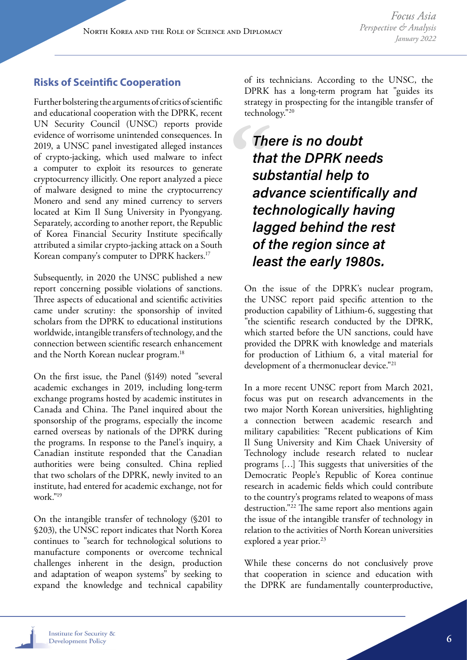## **Risks of Sceintific Cooperation**

Further bolstering the arguments of critics of scientific and educational cooperation with the DPRK, recent UN Security Council (UNSC) reports provide evidence of worrisome unintended consequences. In 2019, a UNSC panel investigated alleged instances of crypto-jacking, which used malware to infect a computer to exploit its resources to generate cryptocurrency illicitly. One report analyzed a piece of malware designed to mine the cryptocurrency Monero and send any mined currency to servers located at Kim Il Sung University in Pyongyang. Separately, according to another report, the Republic of Korea Financial Security Institute specifically attributed a similar crypto-jacking attack on a South Korean company's computer to DPRK hackers.17

Subsequently, in 2020 the UNSC published a new report concerning possible violations of sanctions. Three aspects of educational and scientific activities came under scrutiny: the sponsorship of invited scholars from the DPRK to educational institutions worldwide, intangible transfers of technology, and the connection between scientific research enhancement and the North Korean nuclear program.<sup>18</sup>

On the first issue, the Panel (§149) noted "several academic exchanges in 2019, including long-term exchange programs hosted by academic institutes in Canada and China. The Panel inquired about the sponsorship of the programs, especially the income earned overseas by nationals of the DPRK during the programs. In response to the Panel's inquiry, a Canadian institute responded that the Canadian authorities were being consulted. China replied that two scholars of the DPRK, newly invited to an institute, had entered for academic exchange, not for work."19

On the intangible transfer of technology (§201 to §203), the UNSC report indicates that North Korea continues to "search for technological solutions to manufacture components or overcome technical challenges inherent in the design, production and adaptation of weapon systems" by seeking to expand the knowledge and technical capability of its technicians. According to the UNSC, the DPRK has a long-term program hat "guides its strategy in prospecting for the intangible transfer of technology."20

There is no doubt that the DPRK needs substantial help to advance scientifically and technologically having lagged behind the rest of the region since at least the early 1980s.

On the issue of the DPRK's nuclear program, the UNSC report paid specific attention to the production capability of Lithium-6, suggesting that "the scientific research conducted by the DPRK, which started before the UN sanctions, could have provided the DPRK with knowledge and materials for production of Lithium 6, a vital material for development of a thermonuclear device."<sup>21</sup>

In a more recent UNSC report from March 2021, focus was put on research advancements in the two major North Korean universities, highlighting a connection between academic research and military capabilities: "Recent publications of Kim Il Sung University and Kim Chaek University of Technology include research related to nuclear programs […] This suggests that universities of the Democratic People's Republic of Korea continue research in academic fields which could contribute to the country's programs related to weapons of mass destruction."22 The same report also mentions again the issue of the intangible transfer of technology in relation to the activities of North Korean universities explored a year prior.<sup>23</sup>

While these concerns do not conclusively prove that cooperation in science and education with the DPRK are fundamentally counterproductive,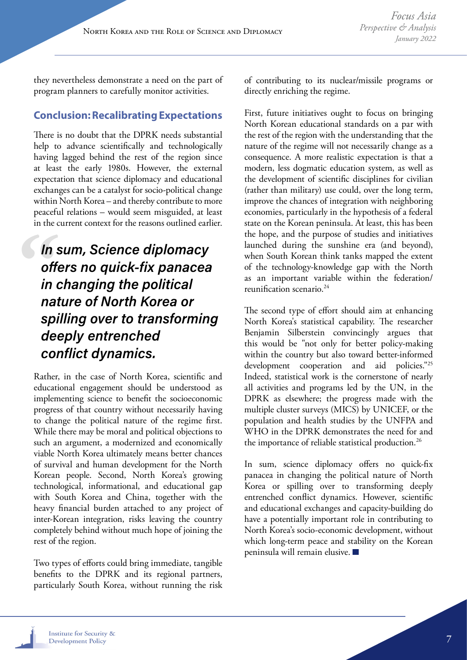they nevertheless demonstrate a need on the part of program planners to carefully monitor activities.

### **Conclusion: Recalibrating Expectations**

There is no doubt that the DPRK needs substantial help to advance scientifically and technologically having lagged behind the rest of the region since at least the early 1980s. However, the external expectation that science diplomacy and educational exchanges can be a catalyst for socio-political change within North Korea – and thereby contribute to more peaceful relations – would seem misguided, at least in the current context for the reasons outlined earlier.

# In sum, Science diplomacy offers no quick-fix panacea in changing the political nature of North Korea or spilling over to transforming deeply entrenched conflict dynamics.

Rather, in the case of North Korea, scientific and educational engagement should be understood as implementing science to benefit the socioeconomic progress of that country without necessarily having to change the political nature of the regime first. While there may be moral and political objections to such an argument, a modernized and economically viable North Korea ultimately means better chances of survival and human development for the North Korean people. Second, North Korea's growing technological, informational, and educational gap with South Korea and China, together with the heavy financial burden attached to any project of inter-Korean integration, risks leaving the country completely behind without much hope of joining the rest of the region.

Two types of efforts could bring immediate, tangible benefits to the DPRK and its regional partners, particularly South Korea, without running the risk of contributing to its nuclear/missile programs or directly enriching the regime.

First, future initiatives ought to focus on bringing North Korean educational standards on a par with the rest of the region with the understanding that the nature of the regime will not necessarily change as a consequence. A more realistic expectation is that a modern, less dogmatic education system, as well as the development of scientific disciplines for civilian (rather than military) use could, over the long term, improve the chances of integration with neighboring economies, particularly in the hypothesis of a federal state on the Korean peninsula. At least, this has been the hope, and the purpose of studies and initiatives launched during the sunshine era (and beyond), when South Korean think tanks mapped the extent of the technology-knowledge gap with the North as an important variable within the federation/ reunification scenario.24

The second type of effort should aim at enhancing North Korea's statistical capability. The researcher Benjamin Silberstein convincingly argues that this would be "not only for better policy-making within the country but also toward better-informed development cooperation and aid policies."<sup>25</sup> Indeed, statistical work is the cornerstone of nearly all activities and programs led by the UN, in the DPRK as elsewhere; the progress made with the multiple cluster surveys (MICS) by UNICEF, or the population and health studies by the UNFPA and WHO in the DPRK demonstrates the need for and the importance of reliable statistical production.<sup>26</sup>

In sum, science diplomacy offers no quick-fix panacea in changing the political nature of North Korea or spilling over to transforming deeply entrenched conflict dynamics. However, scientific and educational exchanges and capacity-building do have a potentially important role in contributing to North Korea's socio-economic development, without which long-term peace and stability on the Korean peninsula will remain elusive.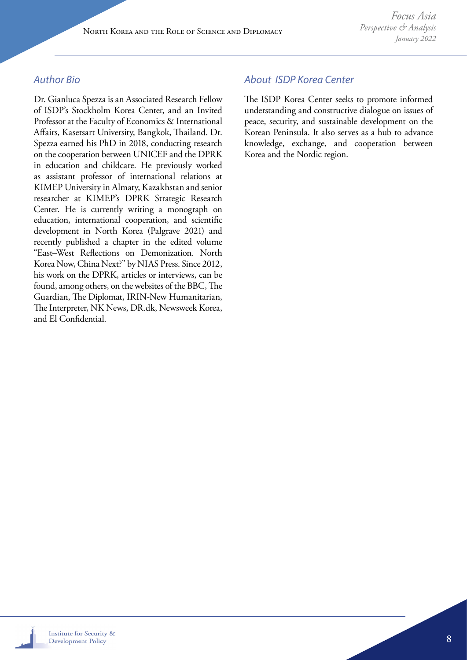### *Author Bio*

Dr. Gianluca Spezza is an Associated Research Fellow of ISDP's Stockholm Korea Center, and an Invited Professor at the Faculty of Economics & International Affairs, Kasetsart University, Bangkok, Thailand. Dr. Spezza earned his PhD in 2018, conducting research on the cooperation between UNICEF and the DPRK in education and childcare. He previously worked as assistant professor of international relations at KIMEP University in Almaty, Kazakhstan and senior researcher at KIMEP's DPRK Strategic Research Center. He is currently writing a monograph on education, international cooperation, and scientific development in North Korea (Palgrave 2021) and recently published a chapter in the edited volume "East–West Reflections on Demonization. North Korea Now, China Next?" by NIAS Press. Since 2012, his work on the DPRK, articles or interviews, can be found, among others, on the websites of the BBC, The Guardian, The Diplomat, IRIN-New Humanitarian, The Interpreter, NK News, DR.dk, Newsweek Korea, and El Confidential.

### *About ISDP Korea Center*

The ISDP Korea Center seeks to promote informed understanding and constructive dialogue on issues of peace, security, and sustainable development on the Korean Peninsula. It also serves as a hub to advance knowledge, exchange, and cooperation between Korea and the Nordic region.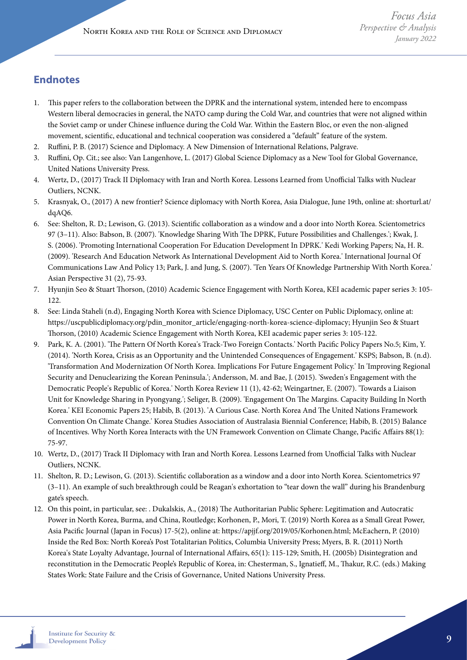## **Endnotes**

- 1. This paper refers to the collaboration between the DPRK and the international system, intended here to encompass Western liberal democracies in general, the NATO camp during the Cold War, and countries that were not aligned within the Soviet camp or under Chinese influence during the Cold War. Within the Eastern Bloc, or even the non-aligned movement, scientific, educational and technical cooperation was considered a "default" feature of the system.
- 2. Ruffini, P. B. (2017) Science and Diplomacy. A New Dimension of International Relations, Palgrave.
- 3. Ruffini, Op. Cit.; see also: Van Langenhove, L. (2017) Global Science Diplomacy as a New Tool for Global Governance, United Nations University Press.
- 4. Wertz, D., (2017) Track II Diplomacy with Iran and North Korea. Lessons Learned from Unofficial Talks with Nuclear Outliers, NCNK.
- 5. Krasnyak, O., (2017) A new frontier? Science diplomacy with North Korea, Asia Dialogue, June 19th, online at: shorturl.at/ dqAQ6.
- 6. See: Shelton, R. D.; Lewison, G. (2013). Scientific collaboration as a window and a door into North Korea. Scientometrics 97 (3–11). Also: Babson, B. (2007). 'Knowledge Sharing With The DPRK, Future Possibilities and Challenges.'; Kwak, J. S. (2006). 'Promoting International Cooperation For Education Development In DPRK.' Kedi Working Papers; Na, H. R. (2009). 'Research And Education Network As International Development Aid to North Korea.' International Journal Of Communications Law And Policy 13; Park, J. and Jung, S. (2007). 'Ten Years Of Knowledge Partnership With North Korea.' Asian Perspective 31 (2), 75-93.
- 7. Hyunjin Seo & Stuart Thorson, (2010) Academic Science Engagement with North Korea, KEI academic paper series 3: 105- 122.
- 8. See: Linda Staheli (n.d), Engaging North Korea with Science Diplomacy, USC Center on Public Diplomacy, online at: https://uscpublicdiplomacy.org/pdin\_monitor\_article/engaging-north-korea-science-diplomacy; Hyunjin Seo & Stuart Thorson, (2010) Academic Science Engagement with North Korea, KEI academic paper series 3: 105-122.
- 9. Park, K. A. (2001). 'The Pattern Of North Korea's Track-Two Foreign Contacts.' North Pacific Policy Papers No.5; Kim, Y. (2014). 'North Korea, Crisis as an Opportunity and the Unintended Consequences of Engagement.' KSPS; Babson, B. (n.d). 'Transformation And Modernization Of North Korea. Implications For Future Engagement Policy.' In 'Improving Regional Security and Denuclearizing the Korean Peninsula.'; Andersson, M. and Bae, J. (2015). 'Sweden's Engagement with the Democratic People's Republic of Korea.' North Korea Review 11 (1), 42-62; Weingartner, E. (2007). 'Towards a Liaison Unit for Knowledge Sharing in Pyongyang.'; Seliger, B. (2009). 'Engagement On The Margins. Capacity Building In North Korea.' KEI Economic Papers 25; Habib, B. (2013). 'A Curious Case. North Korea And The United Nations Framework Convention On Climate Change.' Korea Studies Association of Australasia Biennial Conference; Habib, B. (2015) Balance of Incentives. Why North Korea Interacts with the UN Framework Convention on Climate Change, Pacific Affairs 88(1): 75-97.
- 10. Wertz, D., (2017) Track II Diplomacy with Iran and North Korea. Lessons Learned from Unofficial Talks with Nuclear Outliers, NCNK.
- 11. Shelton, R. D.; Lewison, G. (2013). Scientific collaboration as a window and a door into North Korea. Scientometrics 97 (3–11). An example of such breakthrough could be Reagan's exhortation to "tear down the wall" during his Brandenburg gate's speech.
- 12. On this point, in particular, see: . Dukalskis, A., (2018) The Authoritarian Public Sphere: Legitimation and Autocratic Power in North Korea, Burma, and China, Routledge; Korhonen, P., Mori, T. (2019) North Korea as a Small Great Power, Asia Pacific Journal (Japan in Focus) 17-5(2), online at: https://apjjf.org/2019/05/Korhonen.html; McEachern, P. (2010) Inside the Red Box: North Korea's Post Totalitarian Politics, Columbia University Press; Myers, B. R. (2011) North Korea's State Loyalty Advantage, Journal of International Affairs, 65(1): 115-129; Smith, H. (2005b) Disintegration and reconstitution in the Democratic People's Republic of Korea, in: Chesterman, S., Ignatieff, M., Thakur, R.C. (eds.) Making States Work: State Failure and the Crisis of Governance, United Nations University Press.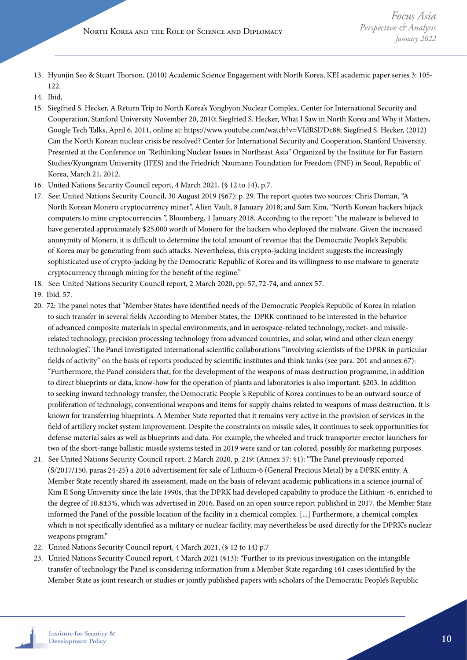- 13. Hyunjin Seo & Stuart Thorson, (2010) Academic Science Engagement with North Korea, KEI academic paper series 3: 105- 122.
- 14. Ibid,
- 15. Siegfried S. Hecker, A Return Trip to North Korea's Yongbyon Nuclear Complex, Center for International Security and Cooperation, Stanford University November 20, 2010; Siegfried S. Hecker, What I Saw in North Korea and Why it Matters, Google Tech Talks, April 6, 2011, online at: https://www.youtube.com/watch?v=VIdRSl7Dc88; Siegfried S. Hecker, (2012) Can the North Korean nuclear crisis be resolved? Center for International Security and Cooperation, Stanford University. Presented at the Conference on "Rethinking Nuclear Issues in Northeast Asia" Organized by the Institute for Far Eastern Studies/Kyungnam University (IFES) and the Friedrich Naumann Foundation for Freedom (FNF) in Seoul, Republic of Korea, March 21, 2012.
- 16. United Nations Security Council report, 4 March 2021, (§ 12 to 14), p.7.
- 17. See: United Nations Security Council, 30 August 2019 (§67): p. 29. The report quotes two sources: Chris Doman, "A North Korean Monero cryptocurrency miner", Alien Vault, 8 January 2018; and Sam Kim, "North Korean hackers hijack computers to mine cryptocurrencies ", Bloomberg, 1 January 2018. According to the report: "the malware is believed to have generated approximately \$25,000 worth of Monero for the hackers who deployed the malware. Given the increased anonymity of Monero, it is difficult to determine the total amount of revenue that the Democratic People's Republic of Korea may be generating from such attacks. Nevertheless, this crypto-jacking incident suggests the increasingly sophisticated use of crypto-jacking by the Democratic Republic of Korea and its willingness to use malware to generate cryptocurrency through mining for the benefit of the regime."
- 18. See: United Nations Security Council report, 2 March 2020, pp: 57, 72-74, and annex 57.
- 19. Ibid. 57.
- 20. 72: The panel notes that "Member States have identified needs of the Democratic People's Republic of Korea in relation to such transfer in several fields According to Member States, the DPRK continued to be interested in the behavior of advanced composite materials in special environments, and in aerospace-related technology, rocket- and missilerelated technology, precision processing technology from advanced countries, and solar, wind and other clean energy technologies". The Panel investigated international scientific collaborations "involving scientists of the DPRK in particular fields of activity" on the basis of reports produced by scientific institutes and think tanks (see para. 201 and annex 67): "Furthermore, the Panel considers that, for the development of the weapons of mass destruction programme, in addition to direct blueprints or data, know-how for the operation of plants and laboratories is also important. §203. In addition to seeking inward technology transfer, the Democratic People 's Republic of Korea continues to be an outward source of proliferation of technology, conventional weapons and items for supply chains related to weapons of mass destruction. It is known for transferring blueprints. A Member State reported that it remains very active in the provision of services in the field of artillery rocket system improvement. Despite the constraints on missile sales, it continues to seek opportunities for defense material sales as well as blueprints and data. For example, the wheeled and truck transporter erector launchers for two of the short-range ballistic missile systems tested in 2019 were sand or tan colored, possibly for marketing purposes.
- 21. See United Nations Security Council report, 2 March 2020, p. 219: (Annex 57: §1): "The Panel previously reported (S/2017/150, paras 24-25) a 2016 advertisement for sale of Lithium-6 (General Precious Metal) by a DPRK entity. A Member State recently shared its assessment, made on the basis of relevant academic publications in a science journal of Kim Il Song University since the late 1990s, that the DPRK had developed capability to produce the Lithium -6, enriched to the degree of 10.8±3%, which was advertised in 2016. Based on an open source report published in 2017, the Member State informed the Panel of the possible location of the facility in a chemical complex. [...] Furthermore, a chemical complex which is not specifically identified as a military or nuclear facility, may nevertheless be used directly for the DPRK's nuclear weapons program."
- 22. United Nations Security Council report, 4 March 2021, (§ 12 to 14) p.7
- 23. United Nations Security Council report, 4 March 2021 (§13): "Further to its previous investigation on the intangible transfer of technology the Panel is considering information from a Member State regarding 161 cases identified by the Member State as joint research or studies or jointly published papers with scholars of the Democratic People's Republic